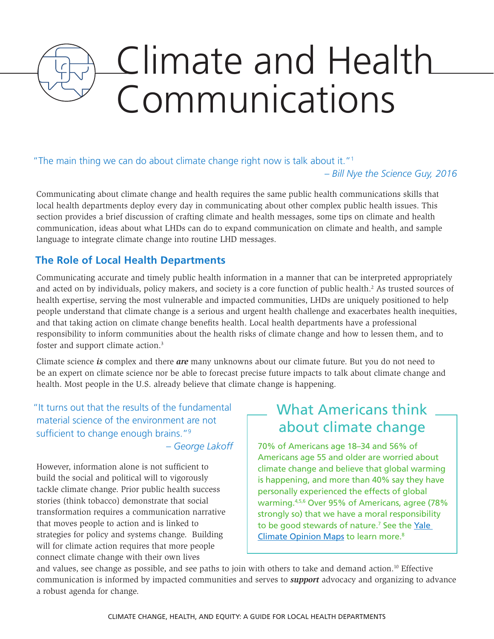# Climate and Health Communications

# "The main thing we can do about climate change right now is talk about it."1

*– Bill Nye the Science Guy, 2016*

Communicating about climate change and health requires the same public health communications skills that local health departments deploy every day in communicating about other complex public health issues. This section provides a brief discussion of crafting climate and health messages, some tips on climate and health communication, ideas about what LHDs can do to expand communication on climate and health, and sample language to integrate climate change into routine LHD messages.

# **The Role of Local Health Departments**

Communicating accurate and timely public health information in a manner that can be interpreted appropriately and acted on by individuals, policy makers, and society is a core function of public health.<sup>2</sup> As trusted sources of health expertise, serving the most vulnerable and impacted communities, LHDs are uniquely positioned to help people understand that climate change is a serious and urgent health challenge and exacerbates health inequities, and that taking action on climate change benefits health. Local health departments have a professional responsibility to inform communities about the health risks of climate change and how to lessen them, and to foster and support climate action.<sup>3</sup>

Climate science *is* complex and there *are* many unknowns about our climate future. But you do not need to be an expert on climate science nor be able to forecast precise future impacts to talk about climate change and health. Most people in the U.S. already believe that climate change is happening.

"It turns out that the results of the fundamental material science of the environment are not sufficient to change enough brains."<sup>9</sup>

*– George Lakoff*

However, information alone is not sufficient to build the social and political will to vigorously tackle climate change. Prior public health success stories (think tobacco) demonstrate that social transformation requires a communication narrative that moves people to action and is linked to strategies for policy and systems change. Building will for climate action requires that more people connect climate change with their own lives

# What Americans think about climate change

70% of Americans age 18–34 and 56% of Americans age 55 and older are worried about climate change and believe that global warming is happening, and more than 40% say they have personally experienced the effects of global warming.4,5,6 Over 95% of Americans, agree (78% strongly so) that we have a moral responsibility to be good stewards of nature.<sup>7</sup> See the Yale [Climate Opinion Maps](http://climatecommunication.yale.edu/visualizations-data/ycom-us-2016/?est=happening&type=value&geo=county) to learn more.8

and values, see change as possible, and see paths to join with others to take and demand action.<sup>10</sup> Effective communication is informed by impacted communities and serves to *support* advocacy and organizing to advance a robust agenda for change.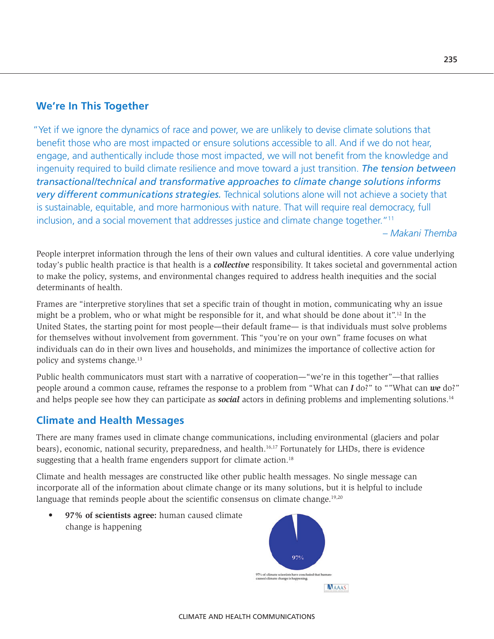# **We're In This Together**

"Yet if we ignore the dynamics of race and power, we are unlikely to devise climate solutions that benefit those who are most impacted or ensure solutions accessible to all. And if we do not hear, engage, and authentically include those most impacted, we will not benefit from the knowledge and ingenuity required to build climate resilience and move toward a just transition. *The tension between transactional/technical and transformative approaches to climate change solutions informs very different communications strategies.* Technical solutions alone will not achieve a society that is sustainable, equitable, and more harmonious with nature. That will require real democracy, full inclusion, and a social movement that addresses justice and climate change together."<sup>11</sup>

*– Makani Themba*

People interpret information through the lens of their own values and cultural identities. A core value underlying today's public health practice is that health is a *collective* responsibility. It takes societal and governmental action to make the policy, systems, and environmental changes required to address health inequities and the social determinants of health.

Frames are "interpretive storylines that set a specific train of thought in motion, communicating why an issue might be a problem, who or what might be responsible for it, and what should be done about it".12 In the United States, the starting point for most people—their default frame— is that individuals must solve problems for themselves without involvement from government. This "you're on your own" frame focuses on what individuals can do in their own lives and households, and minimizes the importance of collective action for policy and systems change.13

Public health communicators must start with a narrative of cooperation—"we're in this together"—that rallies people around a common cause, reframes the response to a problem from "What can *I* do?" to ""What can *we* do?" and helps people see how they can participate as *social* actors in defining problems and implementing solutions.<sup>14</sup>

# **Climate and Health Messages**

There are many frames used in climate change communications, including environmental (glaciers and polar bears), economic, national security, preparedness, and health.<sup>16,17</sup> Fortunately for LHDs, there is evidence suggesting that a health frame engenders support for climate action.<sup>18</sup>

Climate and health messages are constructed like other public health messages. No single message can incorporate all of the information about climate change or its many solutions, but it is helpful to include language that reminds people about the scientific consensus on climate change. $19,20$ 

• **97% of scientists agree:** human caused climate change is happening

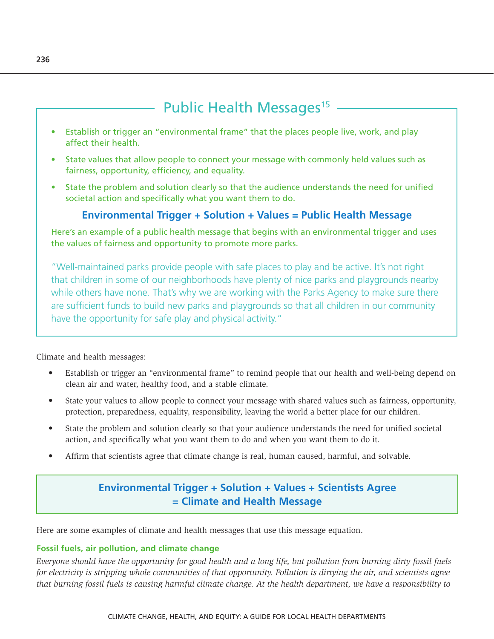# Public Health Messages<sup>15</sup>

- Establish or trigger an "environmental frame" that the places people live, work, and play affect their health.
- State values that allow people to connect your message with commonly held values such as fairness, opportunity, efficiency, and equality.
- State the problem and solution clearly so that the audience understands the need for unified societal action and specifically what you want them to do.

# **Environmental Trigger + Solution + Values = Public Health Message**

Here's an example of a public health message that begins with an environmental trigger and uses the values of fairness and opportunity to promote more parks.

"Well-maintained parks provide people with safe places to play and be active. It's not right that children in some of our neighborhoods have plenty of nice parks and playgrounds nearby while others have none. That's why we are working with the Parks Agency to make sure there are sufficient funds to build new parks and playgrounds so that all children in our community have the opportunity for safe play and physical activity."

Climate and health messages:

- Establish or trigger an "environmental frame" to remind people that our health and well-being depend on clean air and water, healthy food, and a stable climate.
- State your values to allow people to connect your message with shared values such as fairness, opportunity, protection, preparedness, equality, responsibility, leaving the world a better place for our children.
- State the problem and solution clearly so that your audience understands the need for unified societal action, and specifically what you want them to do and when you want them to do it.
- Affirm that scientists agree that climate change is real, human caused, harmful, and solvable.

# **Environmental Trigger + Solution + Values + Scientists Agree = Climate and Health Message**

Here are some examples of climate and health messages that use this message equation.

#### **Fossil fuels, air pollution, and climate change**

*Everyone should have the opportunity for good health and a long life, but pollution from burning dirty fossil fuels for electricity is stripping whole communities of that opportunity. Pollution is dirtying the air, and scientists agree that burning fossil fuels is causing harmful climate change. At the health department, we have a responsibility to*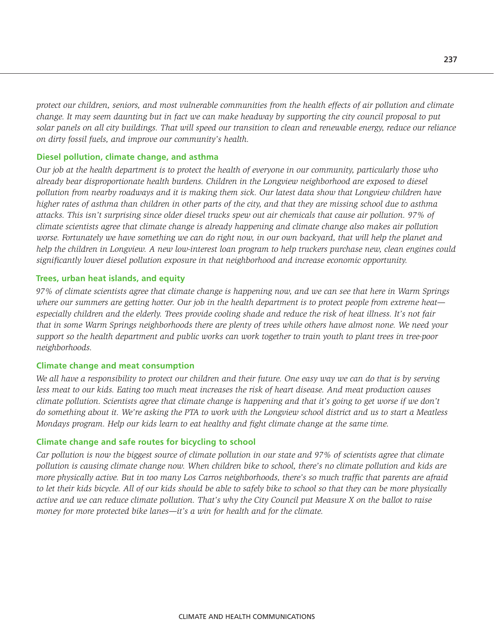*protect our children, seniors, and most vulnerable communities from the health effects of air pollution and climate change. It may seem daunting but in fact we can make headway by supporting the city council proposal to put solar panels on all city buildings. That will speed our transition to clean and renewable energy, reduce our reliance on dirty fossil fuels, and improve our community's health.* 

#### **Diesel pollution, climate change, and asthma**

*Our job at the health department is to protect the health of everyone in our community, particularly those who already bear disproportionate health burdens. Children in the Longview neighborhood are exposed to diesel pollution from nearby roadways and it is making them sick. Our latest data show that Longview children have higher rates of asthma than children in other parts of the city, and that they are missing school due to asthma attacks. This isn't surprising since older diesel trucks spew out air chemicals that cause air pollution. 97% of climate scientists agree that climate change is already happening and climate change also makes air pollution worse. Fortunately we have something we can do right now, in our own backyard, that will help the planet and help the children in Longview. A new low-interest loan program to help truckers purchase new, clean engines could significantly lower diesel pollution exposure in that neighborhood and increase economic opportunity.*

#### **Trees, urban heat islands, and equity**

*97% of climate scientists agree that climate change is happening now, and we can see that here in Warm Springs where our summers are getting hotter. Our job in the health department is to protect people from extreme heat especially children and the elderly. Trees provide cooling shade and reduce the risk of heat illness. It's not fair that in some Warm Springs neighborhoods there are plenty of trees while others have almost none. We need your support so the health department and public works can work together to train youth to plant trees in tree-poor neighborhoods.*

#### **Climate change and meat consumption**

*We all have a responsibility to protect our children and their future. One easy way we can do that is by serving less meat to our kids. Eating too much meat increases the risk of heart disease. And meat production causes climate pollution. Scientists agree that climate change is happening and that it's going to get worse if we don't do something about it. We're asking the PTA to work with the Longview school district and us to start a Meatless Mondays program. Help our kids learn to eat healthy and fight climate change at the same time.* 

#### **Climate change and safe routes for bicycling to school**

*Car pollution is now the biggest source of climate pollution in our state and 97% of scientists agree that climate pollution is causing climate change now. When children bike to school, there's no climate pollution and kids are more physically active. But in too many Los Carros neighborhoods, there's so much traffic that parents are afraid to let their kids bicycle. All of our kids should be able to safely bike to school so that they can be more physically active and we can reduce climate pollution. That's why the City Council put Measure X on the ballot to raise money for more protected bike lanes—it's a win for health and for the climate.*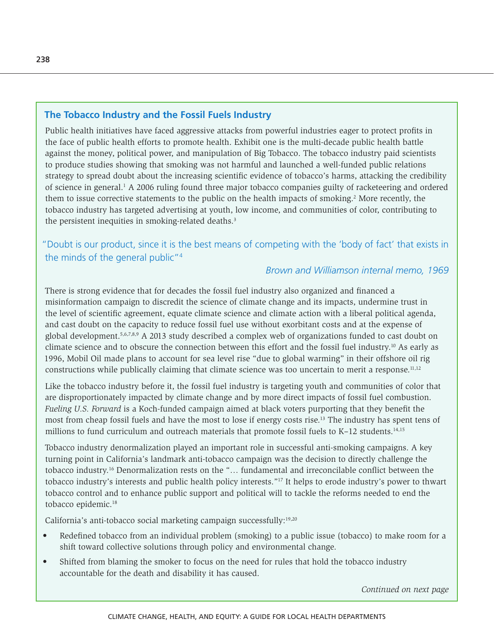# **The Tobacco Industry and the Fossil Fuels Industry**

Public health initiatives have faced aggressive attacks from powerful industries eager to protect profits in the face of public health efforts to promote health. Exhibit one is the multi-decade public health battle against the money, political power, and manipulation of Big Tobacco. The tobacco industry paid scientists to produce studies showing that smoking was not harmful and launched a well-funded public relations strategy to spread doubt about the increasing scientific evidence of tobacco's harms, attacking the credibility of science in general.<sup>1</sup> A 2006 ruling found three major tobacco companies guilty of racketeering and ordered them to issue corrective statements to the public on the health impacts of smoking.<sup>2</sup> More recently, the tobacco industry has targeted advertising at youth, low income, and communities of color, contributing to the persistent inequities in smoking-related deaths.<sup>3</sup>

# "Doubt is our product, since it is the best means of competing with the 'body of fact' that exists in the minds of the general public"<sup>4</sup>

# *Brown and Williamson internal memo, 1969*

There is strong evidence that for decades the fossil fuel industry also organized and financed a misinformation campaign to discredit the science of climate change and its impacts, undermine trust in the level of scientific agreement, equate climate science and climate action with a liberal political agenda, and cast doubt on the capacity to reduce fossil fuel use without exorbitant costs and at the expense of global development.5,6,7,8,9 A 2013 study described a complex web of organizations funded to cast doubt on climate science and to obscure the connection between this effort and the fossil fuel industry.10 As early as 1996, Mobil Oil made plans to account for sea level rise "due to global warming" in their offshore oil rig constructions while publically claiming that climate science was too uncertain to merit a response.<sup>11,12</sup>

Like the tobacco industry before it, the fossil fuel industry is targeting youth and communities of color that are disproportionately impacted by climate change and by more direct impacts of fossil fuel combustion. *Fueling U.S. Forward* is a Koch-funded campaign aimed at black voters purporting that they benefit the most from cheap fossil fuels and have the most to lose if energy costs rise.13 The industry has spent tens of millions to fund curriculum and outreach materials that promote fossil fuels to K–12 students.<sup>14,15</sup>

Tobacco industry denormalization played an important role in successful anti-smoking campaigns. A key turning point in California's landmark anti-tobacco campaign was the decision to directly challenge the tobacco industry.16 Denormalization rests on the "… fundamental and irreconcilable conflict between the tobacco industry's interests and public health policy interests."17 It helps to erode industry's power to thwart tobacco control and to enhance public support and political will to tackle the reforms needed to end the tobacco epidemic.18

California's anti-tobacco social marketing campaign successfully:19,20

- Redefined tobacco from an individual problem (smoking) to a public issue (tobacco) to make room for a shift toward collective solutions through policy and environmental change.
- Shifted from blaming the smoker to focus on the need for rules that hold the tobacco industry accountable for the death and disability it has caused.

*Continued on next page*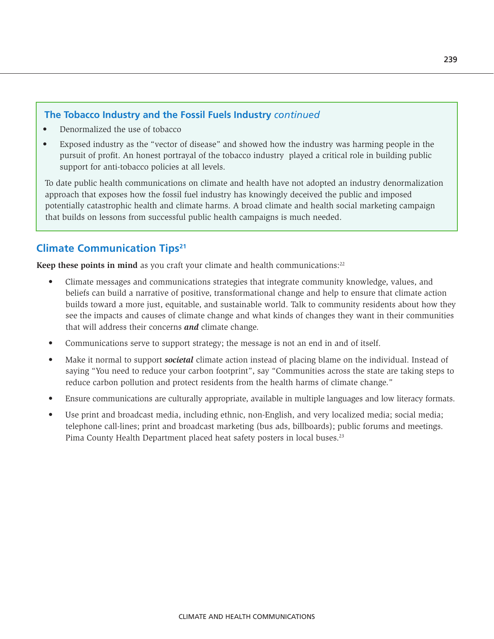# **The Tobacco Industry and the Fossil Fuels Industry** *continued*

- Denormalized the use of tobacco
- Exposed industry as the "vector of disease" and showed how the industry was harming people in the pursuit of profit. An honest portrayal of the tobacco industry played a critical role in building public support for anti-tobacco policies at all levels.

To date public health communications on climate and health have not adopted an industry denormalization approach that exposes how the fossil fuel industry has knowingly deceived the public and imposed potentially catastrophic health and climate harms. A broad climate and health social marketing campaign that builds on lessons from successful public health campaigns is much needed.

# **Climate Communication Tips21**

**Keep these points in mind** as you craft your climate and health communications:<sup>22</sup>

- Climate messages and communications strategies that integrate community knowledge, values, and beliefs can build a narrative of positive, transformational change and help to ensure that climate action builds toward a more just, equitable, and sustainable world. Talk to community residents about how they see the impacts and causes of climate change and what kinds of changes they want in their communities that will address their concerns *and* climate change.
- Communications serve to support strategy; the message is not an end in and of itself.
- Make it normal to support *societal* climate action instead of placing blame on the individual. Instead of saying "You need to reduce your carbon footprint", say "Communities across the state are taking steps to reduce carbon pollution and protect residents from the health harms of climate change."
- Ensure communications are culturally appropriate, available in multiple languages and low literacy formats.
- Use print and broadcast media, including ethnic, non-English, and very localized media; social media; telephone call-lines; print and broadcast marketing (bus ads, billboards); public forums and meetings. Pima County Health Department placed heat safety posters in local buses.<sup>23</sup>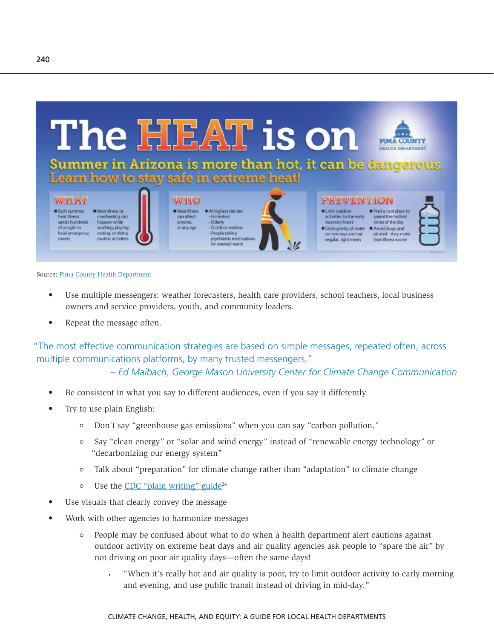

Each summer, heat illness sends hundreds of people to local emergency



anyone,

**Heatillness** At highest risk are - Homeless<br>- Elderly can affect Outdoor workers at any age People taking psychiatric me for mental health



#### **ELimit outdoor** activities to the early morning hours Drink plenty of water Avoid drugs and on hot days and eat

regular, light meals

Find a cool place to spend the hottest<br>times of the day alcohol - they make heat illness worse

#### Source: [Pima County Health Department](https://twitter.com/pchd/status/740950475659481088)

- Use multiple messengers: weather forecasters, health care providers, school teachers, local business owners and service providers, youth, and community leaders.
- Repeat the message often.

**Heat illness or** 

happen while

"The most effective communication strategies are based on simple messages, repeated often, across multiple communications platforms, by many trusted messengers."

*– Ed Maibach, George Mason University Center for Climate Change Communication* 

- Be consistent in what you say to different audiences, even if you say it differently.
- Try to use plain English:
	- Don't say "greenhouse gas emissions" when you can say "carbon pollution."
	- Say "clean energy" or "solar and wind energy" instead of "renewable energy technology" or "decarbonizing our energy system"
	- $\circ$ Talk about "preparation" for climate change rather than "adaptation" to climate change
	- Use the CDC "plain writing" guide $24$  $\circ$
- Use visuals that clearly convey the message
- Work with other agencies to harmonize messages
	- People may be confused about what to do when a health department alert cautions against  $\circ$ outdoor activity on extreme heat days and air quality agencies ask people to "spare the air" by not driving on poor air quality days—often the same days!
		- "When it's really hot and air quality is poor, try to limit outdoor activity to early morning and evening, and use public transit instead of driving in mid-day."

240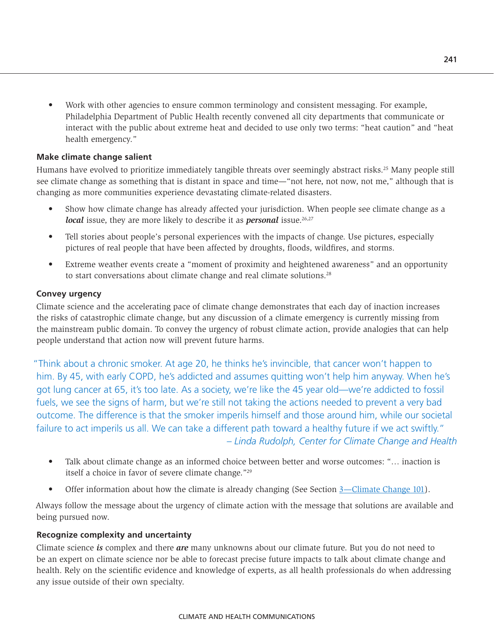• Work with other agencies to ensure common terminology and consistent messaging. For example, Philadelphia Department of Public Health recently convened all city departments that communicate or interact with the public about extreme heat and decided to use only two terms: "heat caution" and "heat health emergency."

#### **Make climate change salient**

Humans have evolved to prioritize immediately tangible threats over seemingly abstract risks.25 Many people still see climate change as something that is distant in space and time—"not here, not now, not me," although that is changing as more communities experience devastating climate-related disasters.

- Show how climate change has already affected your jurisdiction. When people see climate change as a *local* issue, they are more likely to describe it as **personal** issue.<sup>26,27</sup>
- Tell stories about people's personal experiences with the impacts of change. Use pictures, especially pictures of real people that have been affected by droughts, floods, wildfires, and storms.
- Extreme weather events create a "moment of proximity and heightened awareness" and an opportunity to start conversations about climate change and real climate solutions.<sup>28</sup>

#### **Convey urgency**

Climate science and the accelerating pace of climate change demonstrates that each day of inaction increases the risks of catastrophic climate change, but any discussion of a climate emergency is currently missing from the mainstream public domain. To convey the urgency of robust climate action, provide analogies that can help people understand that action now will prevent future harms.

"Think about a chronic smoker. At age 20, he thinks he's invincible, that cancer won't happen to him. By 45, with early COPD, he's addicted and assumes quitting won't help him anyway. When he's got lung cancer at 65, it's too late. As a society, we're like the 45 year old—we're addicted to fossil fuels, we see the signs of harm, but we're still not taking the actions needed to prevent a very bad outcome. The difference is that the smoker imperils himself and those around him, while our societal failure to act imperils us all. We can take a different path toward a healthy future if we act swiftly." *– Linda Rudolph, Center for Climate Change and Health*

- Talk about climate change as an informed choice between better and worse outcomes: "… inaction is itself a choice in favor of severe climate change."29
- Offer information about how the climate is already changing (See Section [3—Climate Change 101](#page--1-0)).

Always follow the message about the urgency of climate action with the message that solutions are available and being pursued now.

## **Recognize complexity and uncertainty**

Climate science *is* complex and there *are* many unknowns about our climate future. But you do not need to be an expert on climate science nor be able to forecast precise future impacts to talk about climate change and health. Rely on the scientific evidence and knowledge of experts, as all health professionals do when addressing any issue outside of their own specialty.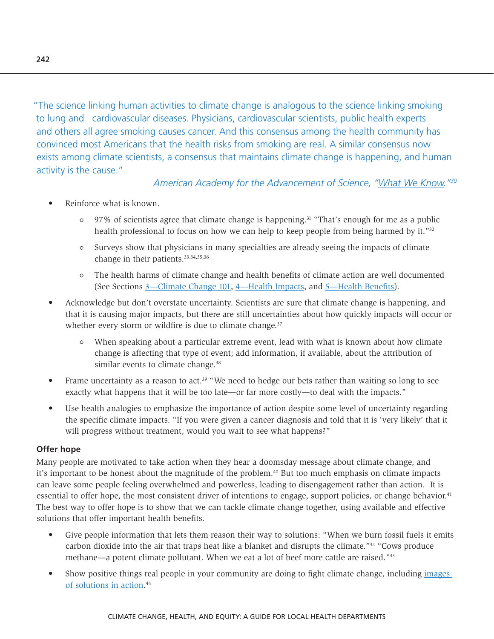"The science linking human activities to climate change is analogous to the science linking smoking to lung and cardiovascular diseases. Physicians, cardiovascular scientists, public health experts and others all agree smoking causes cancer. And this consensus among the health community has convinced most Americans that the health risks from smoking are real. A similar consensus now exists among climate scientists, a consensus that maintains climate change is happening, and human activity is the cause."

*American Academy for the Advancement of Science, ["What We Know](http://whatweknow.aaas.org/wp-content/uploads/2014/07/whatweknow_website.pdf)."30* 

- Reinforce what is known.
	- $\circ$  97% of scientists agree that climate change is happening.<sup>31</sup> "That's enough for me as a public health professional to focus on how we can help to keep people from being harmed by it."<sup>32</sup>
	- $\circ$  Surveys show that physicians in many specialties are already seeing the impacts of climate change in their patients.<sup>33,34,35,36</sup>
	- The health harms of climate change and health benefits of climate action are well documented (See Sections [3—Climate Change 101, 4—Health Impacts,](#page--1-0) and [5—Health Benefits\)](#page--1-1).
- Acknowledge but don't overstate uncertainty. Scientists are sure that climate change is happening, and that it is causing major impacts, but there are still uncertainties about how quickly impacts will occur or whether every storm or wildfire is due to climate change.<sup>37</sup>
	- When speaking about a particular extreme event, lead with what is known about how climate change is affecting that type of event; add information, if available, about the attribution of similar events to climate change.<sup>38</sup>
- Frame uncertainty as a reason to act.<sup>39</sup> "We need to hedge our bets rather than waiting so long to see exactly what happens that it will be too late—or far more costly—to deal with the impacts."
- Use health analogies to emphasize the importance of action despite some level of uncertainty regarding the specific climate impacts. "If you were given a cancer diagnosis and told that it is 'very likely' that it will progress without treatment, would you wait to see what happens?"

## **Offer hope**

Many people are motivated to take action when they hear a doomsday message about climate change, and it's important to be honest about the magnitude of the problem.<sup>40</sup> But too much emphasis on climate impacts can leave some people feeling overwhelmed and powerless, leading to disengagement rather than action. It is essential to offer hope, the most consistent driver of intentions to engage, support policies, or change behavior.<sup>41</sup> The best way to offer hope is to show that we can tackle climate change together, using available and effective solutions that offer important health benefits.

- Give people information that lets them reason their way to solutions: "When we burn fossil fuels it emits carbon dioxide into the air that traps heat like a blanket and disrupts the climate."42 "Cows produce methane—a potent climate pollutant. When we eat a lot of beef more cattle are raised."43
- Show positive things real people in your community are doing to fight climate change, including images [of solutions in action.](https://www.climatevisuals.org) 44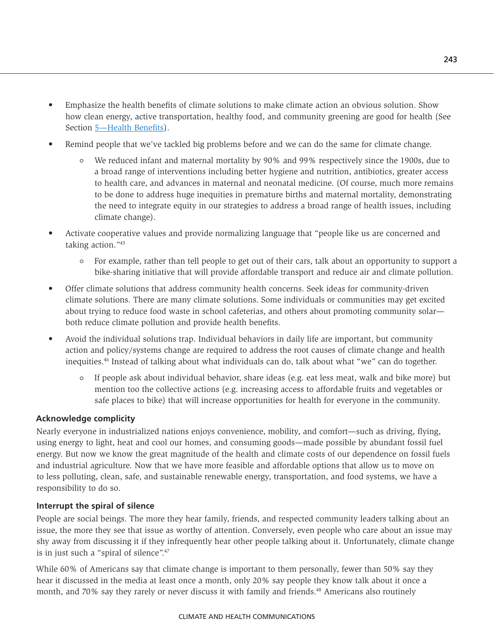- Emphasize the health benefits of climate solutions to make climate action an obvious solution. Show how clean energy, active transportation, healthy food, and community greening are good for health (See Section [5—Health Benefits\)](#page--1-1).
- Remind people that we've tackled big problems before and we can do the same for climate change.
	- We reduced infant and maternal mortality by 90% and 99% respectively since the 1900s, due to a broad range of interventions including better hygiene and nutrition, antibiotics, greater access to health care, and advances in maternal and neonatal medicine. (Of course, much more remains to be done to address huge inequities in premature births and maternal mortality, demonstrating the need to integrate equity in our strategies to address a broad range of health issues, including climate change).
- Activate cooperative values and provide normalizing language that "people like us are concerned and taking action."45
	- For example, rather than tell people to get out of their cars, talk about an opportunity to support a bike-sharing initiative that will provide affordable transport and reduce air and climate pollution.
- Offer climate solutions that address community health concerns. Seek ideas for community-driven climate solutions. There are many climate solutions. Some individuals or communities may get excited about trying to reduce food waste in school cafeterias, and others about promoting community solar both reduce climate pollution and provide health benefits.
- Avoid the individual solutions trap. Individual behaviors in daily life are important, but community action and policy/systems change are required to address the root causes of climate change and health inequities.46 Instead of talking about what individuals can do, talk about what "we" can do together.
	- $\circ$  If people ask about individual behavior, share ideas (e.g. eat less meat, walk and bike more) but mention too the collective actions (e.g. increasing access to affordable fruits and vegetables or safe places to bike) that will increase opportunities for health for everyone in the community.

## **Acknowledge complicity**

Nearly everyone in industrialized nations enjoys convenience, mobility, and comfort—such as driving, flying, using energy to light, heat and cool our homes, and consuming goods—made possible by abundant fossil fuel energy. But now we know the great magnitude of the health and climate costs of our dependence on fossil fuels and industrial agriculture. Now that we have more feasible and affordable options that allow us to move on to less polluting, clean, safe, and sustainable renewable energy, transportation, and food systems, we have a responsibility to do so.

#### **Interrupt the spiral of silence**

People are social beings. The more they hear family, friends, and respected community leaders talking about an issue, the more they see that issue as worthy of attention. Conversely, even people who care about an issue may shy away from discussing it if they infrequently hear other people talking about it. Unfortunately, climate change is in just such a "spiral of silence".<sup>47</sup>

While 60% of Americans say that climate change is important to them personally, fewer than 50% say they hear it discussed in the media at least once a month, only 20% say people they know talk about it once a month, and 70% say they rarely or never discuss it with family and friends.<sup>48</sup> Americans also routinely

#### CLIMATE AND HEALTH COMMUNICATIONS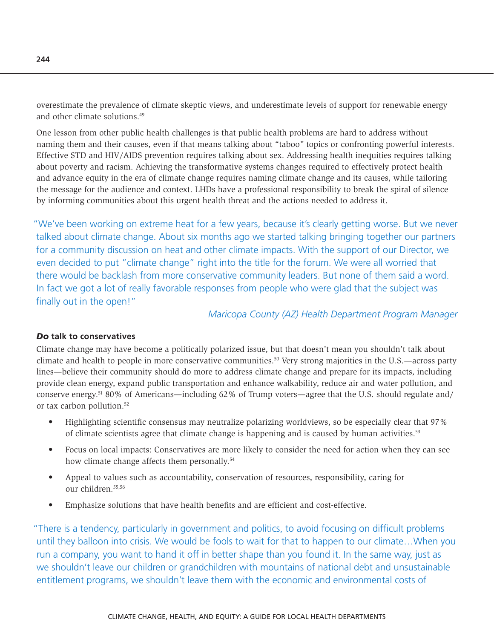overestimate the prevalence of climate skeptic views, and underestimate levels of support for renewable energy and other climate solutions.49

One lesson from other public health challenges is that public health problems are hard to address without naming them and their causes, even if that means talking about "taboo" topics or confronting powerful interests. Effective STD and HIV/AIDS prevention requires talking about sex. Addressing health inequities requires talking about poverty and racism. Achieving the transformative systems changes required to effectively protect health and advance equity in the era of climate change requires naming climate change and its causes, while tailoring the message for the audience and context. LHDs have a professional responsibility to break the spiral of silence by informing communities about this urgent health threat and the actions needed to address it.

"We've been working on extreme heat for a few years, because it's clearly getting worse. But we never talked about climate change. About six months ago we started talking bringing together our partners for a community discussion on heat and other climate impacts. With the support of our Director, we even decided to put "climate change" right into the title for the forum. We were all worried that there would be backlash from more conservative community leaders. But none of them said a word. In fact we got a lot of really favorable responses from people who were glad that the subject was finally out in the open!"

*Maricopa County (AZ) Health Department Program Manager*

#### *Do* **talk to conservatives**

Climate change may have become a politically polarized issue, but that doesn't mean you shouldn't talk about climate and health to people in more conservative communities.50 Very strong majorities in the U.S.—across party lines—believe their community should do more to address climate change and prepare for its impacts, including provide clean energy, expand public transportation and enhance walkability, reduce air and water pollution, and conserve energy.51 80% of Americans—including 62% of Trump voters—agree that the U.S. should regulate and/ or tax carbon pollution.52

- Highlighting scientific consensus may neutralize polarizing worldviews, so be especially clear that 97% of climate scientists agree that climate change is happening and is caused by human activities.<sup>53</sup>
- Focus on local impacts: Conservatives are more likely to consider the need for action when they can see how climate change affects them personally.<sup>54</sup>
- Appeal to values such as accountability, conservation of resources, responsibility, caring for our children.55,56
- Emphasize solutions that have health benefits and are efficient and cost-effective.

"There is a tendency, particularly in government and politics, to avoid focusing on difficult problems until they balloon into crisis. We would be fools to wait for that to happen to our climate…When you run a company, you want to hand it off in better shape than you found it. In the same way, just as we shouldn't leave our children or grandchildren with mountains of national debt and unsustainable entitlement programs, we shouldn't leave them with the economic and environmental costs of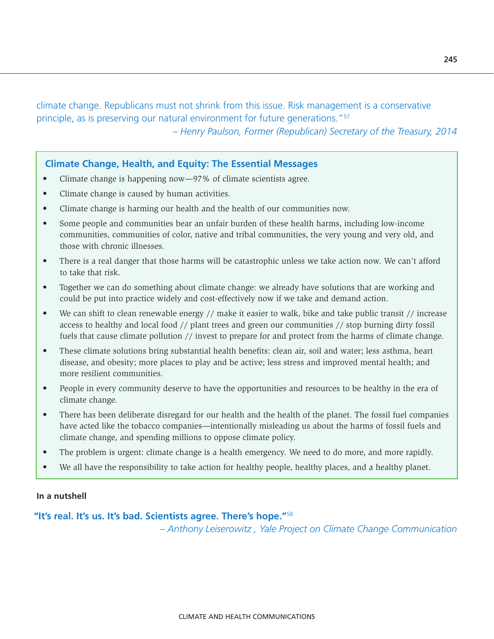climate change. Republicans must not shrink from this issue. Risk management is a conservative principle, as is preserving our natural environment for future generations."57 *– Henry Paulson, Former (Republican) Secretary of the Treasury, 2014*

# **Climate Change, Health, and Equity: The Essential Messages**

- Climate change is happening now—97% of climate scientists agree.
- Climate change is caused by human activities.
- Climate change is harming our health and the health of our communities now.
- Some people and communities bear an unfair burden of these health harms, including low-income communities, communities of color, native and tribal communities, the very young and very old, and those with chronic illnesses.
- There is a real danger that those harms will be catastrophic unless we take action now. We can't afford to take that risk.
- Together we can do something about climate change: we already have solutions that are working and could be put into practice widely and cost-effectively now if we take and demand action.
- We can shift to clean renewable energy // make it easier to walk, bike and take public transit // increase access to healthy and local food // plant trees and green our communities // stop burning dirty fossil fuels that cause climate pollution // invest to prepare for and protect from the harms of climate change.
- These climate solutions bring substantial health benefits: clean air, soil and water; less asthma, heart disease, and obesity; more places to play and be active; less stress and improved mental health; and more resilient communities.
- People in every community deserve to have the opportunities and resources to be healthy in the era of climate change.
- There has been deliberate disregard for our health and the health of the planet. The fossil fuel companies have acted like the tobacco companies—intentionally misleading us about the harms of fossil fuels and climate change, and spending millions to oppose climate policy.
- The problem is urgent: climate change is a health emergency. We need to do more, and more rapidly.
- We all have the responsibility to take action for healthy people, healthy places, and a healthy planet.

#### **In a nutshell**

#### **"It's real. It's us. It's bad. Scientists agree. There's hope."**<sup>58</sup>

*– Anthony Leiserowitz , Yale Project on Climate Change Communication*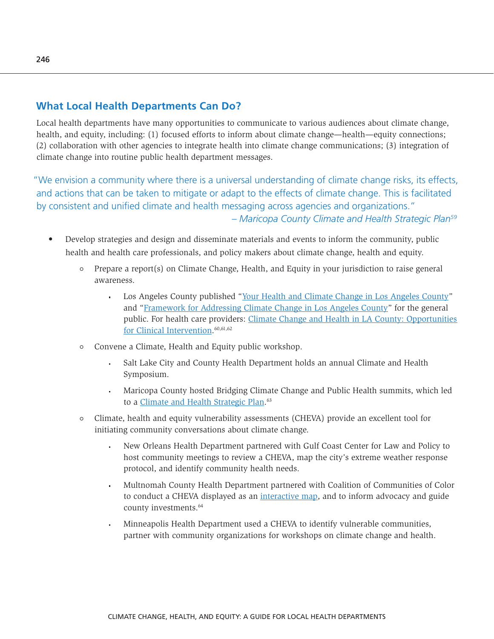# **What Local Health Departments Can Do?**

Local health departments have many opportunities to communicate to various audiences about climate change, health, and equity, including: (1) focused efforts to inform about climate change—health—equity connections; (2) collaboration with other agencies to integrate health into climate change communications; (3) integration of climate change into routine public health department messages.

"We envision a community where there is a universal understanding of climate change risks, its effects, and actions that can be taken to mitigate or adapt to the effects of climate change. This is facilitated by consistent and unified climate and health messaging across agencies and organizations." *– Maricopa County Climate and Health Strategic Plan59* 

- Develop strategies and design and disseminate materials and events to inform the community, public health and health care professionals, and policy makers about climate change, health and equity.
	- $\circ$  Prepare a report(s) on Climate Change, Health, and Equity in your jurisdiction to raise general awareness.
		- Los Angeles County published "[Your Health and Climate Change in Los Angeles County](http://publichealth.lacounty.gov/eh/docs/climatechange/YourHealthandClimateChange.pdf)" and ["Framework for Addressing Climate Change in Los Angeles County"](http://publichealth.lacounty.gov/eh/docs/climatechange/FrameworkforAddressingClimateChange.pdf) for the general public. For health care providers: [Climate Change and Health in LA County: Opportunities](http://rx.ph.lacounty.gov/RxClimate1117)  [for Clinical Intervention.](http://rx.ph.lacounty.gov/RxClimate1117) 60,61,62
	- Convene a Climate, Health and Equity public workshop.  $\circ$ 
		- Salt Lake City and County Health Department holds an annual Climate and Health ä, Symposium.
		- Maricopa County hosted Bridging Climate Change and Public Health summits, which led to a *Climate and Health Strategic Plan*.<sup>63</sup>
	- Climate, health and equity vulnerability assessments (CHEVA) provide an excellent tool for  $\circ$ initiating community conversations about climate change.
		- New Orleans Health Department partnered with Gulf Coast Center for Law and Policy to l. host community meetings to review a CHEVA, map the city's extreme weather response protocol, and identify community health needs.
		- Multnomah County Health Department partnered with Coalition of Communities of Color to conduct a CHEVA displayed as an [interactive map,](http://multco.maps.arcgis.com/apps/MapJournal/index.html?appid=f6536b4fc7d946918975da4cc0005578) and to inform advocacy and guide county investments.64
		- Minneapolis Health Department used a CHEVA to identify vulnerable communities, partner with community organizations for workshops on climate change and health.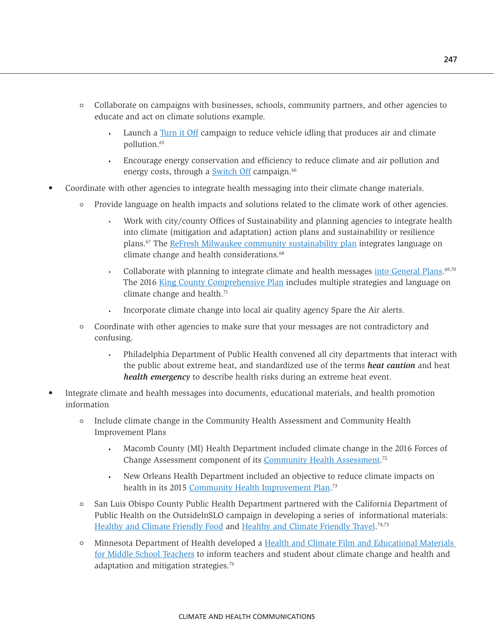- Collaborate on campaigns with businesses, schools, community partners, and other agencies to educate and act on climate solutions example.
	- Launch a [Turn it Off](https://iturnitoff.com/#/savings) campaign to reduce vehicle idling that produces air and climate pollution.65
	- Encourage energy conservation and efficiency to reduce climate and air pollution and energy costs, through a [Switch Off](https://www.resourceefficientscotland.com/guide/switch-off-campaign) campaign.<sup>66</sup>
- Coordinate with other agencies to integrate health messaging into their climate change materials.
	- Provide language on health impacts and solutions related to the climate work of other agencies.
		- Work with city/county Offices of Sustainability and planning agencies to integrate health into climate (mitigation and adaptation) action plans and sustainability or resilience plans.67 The [ReFresh Milwaukee community sustainability plan](http://city.milwaukee.gov/ReFreshMKE_PlanFinal_Web.pdf) integrates language on climate change and health considerations.<sup>68</sup>
		- Collaborate with planning to integrate climate and health messages *into General Plans.*<sup>69,70</sup> The 2016 [King County Comprehensive Plan](https://www.kingcounty.gov/~/media/depts/executive/performance-strategy-budget/regional-planning/Comp%20Plan/2017_KingCountyComprehensivePlan.ashx?la=en) includes multiple strategies and language on climate change and health.<sup>71</sup>
		- Incorporate climate change into local air quality agency Spare the Air alerts.
	- Coordinate with other agencies to make sure that your messages are not contradictory and confusing.
		- a. Philadelphia Department of Public Health convened all city departments that interact with the public about extreme heat, and standardized use of the terms *heat caution* and heat *health emergency* to describe health risks during an extreme heat event.
- Integrate climate and health messages into documents, educational materials, and health promotion information
	- Include climate change in the Community Health Assessment and Community Health Improvement Plans
		- Macomb County (MI) Health Department included climate change in the 2016 Forces of Change Assessment component of its [Community Health Assessment.](http://cha.macombgov.org/sites/default/files/content/government/cha/pdfs/CommunityHealthAssessment16.pdf)<sup>72</sup>
		- New Orleans Health Department included an objective to reduce climate impacts on ¥, health in its 2015 [Community Health Improvement Plan](http://www.nola.gov/getattachment/Health/Data-and-Publications/New-Orleans_Community-Health-Improvement-Plan_May-2015-(1).pdf/).<sup>73</sup>
	- San Luis Obispo County Public Health Department partnered with the California Department of  $\circ$ Public Health on the OutsideInSLO campaign in developing a series of informational materials: [Healthy and Climate Friendly Food](http://www.healslo.com/wp-content/uploads/2014/09/FINAL_ClimateFriendlyTravel_08-26-2014.pdf) and [Healthy and Climate Friendly Travel.](http://www.healslo.com/wp-content/uploads/2014/09/FINAL_ClimateFriendlyTravel_08-26-2014.pdf)<sup>74,75</sup>
	- Minnesota Department of Health developed a [Health and Climate Film and Educational Materials](http://www.health.state.mn.us/divs/climatechange/climatevideo.html#teacher)  [for Middle School Teachers](http://www.health.state.mn.us/divs/climatechange/climatevideo.html#teacher) to inform teachers and student about climate change and health and adaptation and mitigation strategies.76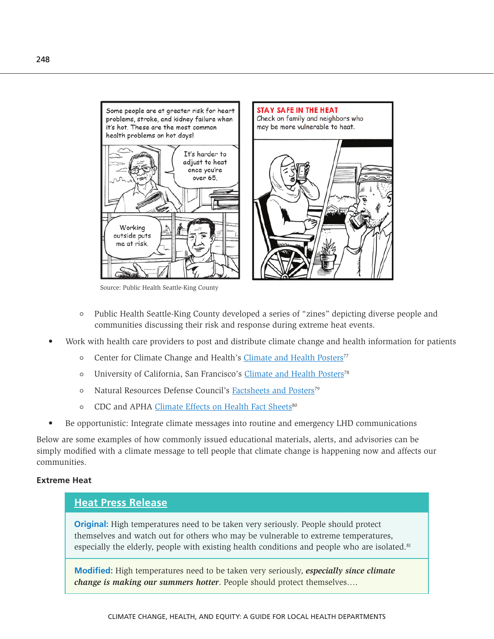

Source: Public Health Seattle-King County

- $\circ$ Public Health Seattle-King County developed a series of "zines" depicting diverse people and communities discussing their risk and response during extreme heat events.
- Work with health care providers to post and distribute climate change and health information for patients
	- Center for Climate Change and Health's Climate and Health Posters<sup>77</sup>  $\circ$
	- University of California, San Francisco's Climate and Health Posters<sup>78</sup>  $\circ$
	- Natural Resources Defense Council's [Factsheets and Posters](https://www.savethefood.com/share-it)<sup>79</sup>  $\circ$
	- CDC and APHA [Climate Effects on Health Fact Sheets](https://www.cdc.gov/climateandhealth/effects/default.htm)<sup>80</sup>  $\circ$
- Be opportunistic: Integrate climate messages into routine and emergency LHD communications

Below are some examples of how commonly issued educational materials, alerts, and advisories can be simply modified with a climate message to tell people that climate change is happening now and affects our communities.

#### **Extreme Heat**

#### **[Heat Press Release](https://www.cdph.ca.gov/Pages/KarenSmithWelcome.aspx)**

**Original:** High temperatures need to be taken very seriously. People should protect themselves and watch out for others who may be vulnerable to extreme temperatures, especially the elderly, people with existing health conditions and people who are isolated. $81$ 

**Modified:** High temperatures need to be taken very seriously, *especially since climate change is making our summers hotter*. People should protect themselves….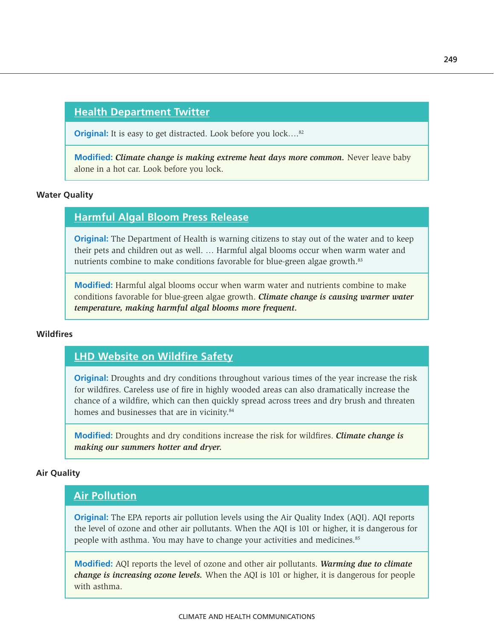# **[Health Department Twitter](https://twitter.com/search?q=monterey%20county%20health%20department&src=typd)**

**Original:** It is easy to get distracted. Look before you lock....<sup>82</sup>

**Modified:** *Climate change is making extreme heat days more common.* Never leave baby alone in a hot car. Look before you lock.

#### **Water Quality**

# **[Harmful Algal Bloom Press Release](http://www.vdh.virginia.gov/content/uploads/sites/12/2017/03/VDH_Example-Harmful-Algal-Bloom-Press-Release_2017.pdf)**

**Original:** The Department of Health is warning citizens to stay out of the water and to keep their pets and children out as well. … Harmful algal blooms occur when warm water and nutrients combine to make conditions favorable for blue-green algae growth.<sup>83</sup>

**Modified:** Harmful algal blooms occur when warm water and nutrients combine to make conditions favorable for blue-green algae growth. *Climate change is causing warmer water temperature, making harmful algal blooms more frequent.*

#### **Wildfires**

# **[LHD Website on Wildfire Safety](http://www.cchdmt.org/2015/06/wildfire-safety/)**

**Original:** Droughts and dry conditions throughout various times of the year increase the risk for wildfires. Careless use of fire in highly wooded areas can also dramatically increase the chance of a wildfire, which can then quickly spread across trees and dry brush and threaten homes and businesses that are in vicinity.<sup>84</sup>

**Modified:** Droughts and dry conditions increase the risk for wildfires. *Climate change is making our summers hotter and dryer.* 

#### **Air Quality**

# **[Air Pollution](http://www.aafa.org/page/air-pollution-smog-asthma.aspx)**

**Original:** The EPA reports air pollution levels using the Air Quality Index (AQI). AQI reports the level of ozone and other air pollutants. When the AQI is 101 or higher, it is dangerous for people with asthma. You may have to change your activities and medicines.<sup>85</sup>

**Modified:** AQI reports the level of ozone and other air pollutants. *Warming due to climate change is increasing ozone levels.* When the AQI is 101 or higher, it is dangerous for people with asthma.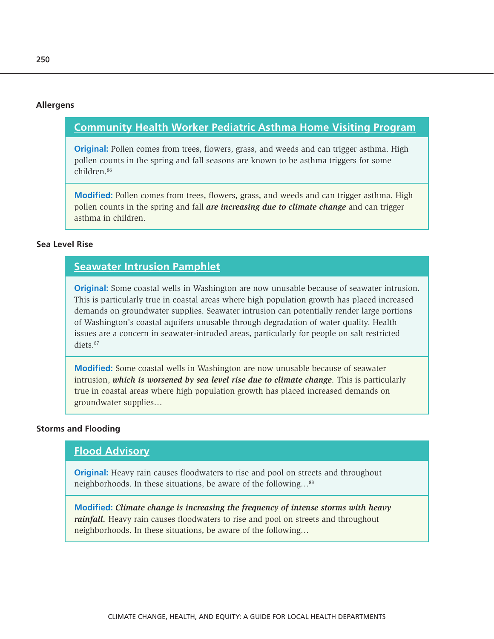#### **Allergens**

# **[Community Health Worker Pediatric Asthma Home Visiting Program](https://www.mass.gov/files/documents/2018/02/02/asthma-chw-hv-program-summary.pdf)**

**Original:** Pollen comes from trees, flowers, grass, and weeds and can trigger asthma. High pollen counts in the spring and fall seasons are known to be asthma triggers for some children.86

**Modified:** Pollen comes from trees, flowers, grass, and weeds and can trigger asthma. High pollen counts in the spring and fall *are increasing due to climate change* and can trigger asthma in children.

## **Sea Level Rise**

# **[Seawater Intrusion Pamphlet](https://fortress.wa.gov/ecy/publications/publications/0211018.pdf)**

**Original:** Some coastal wells in Washington are now unusable because of seawater intrusion. This is particularly true in coastal areas where high population growth has placed increased demands on groundwater supplies. Seawater intrusion can potentially render large portions of Washington's coastal aquifers unusable through degradation of water quality. Health issues are a concern in seawater-intruded areas, particularly for people on salt restricted diets.87

**Modified:** Some coastal wells in Washington are now unusable because of seawater intrusion, *which is worsened by sea level rise due to climate change*. This is particularly true in coastal areas where high population growth has placed increased demands on groundwater supplies…

#### **Storms and Flooding**

# **[Flood Advisory](http://duval.floridahealth.gov/_files/_documents/10-9-15-flood-advisory.pdf)**

**Original:** Heavy rain causes floodwaters to rise and pool on streets and throughout neighborhoods. In these situations, be aware of the following…88

**Modified:** *Climate change is increasing the frequency of intense storms with heavy rainfall.* Heavy rain causes floodwaters to rise and pool on streets and throughout neighborhoods. In these situations, be aware of the following…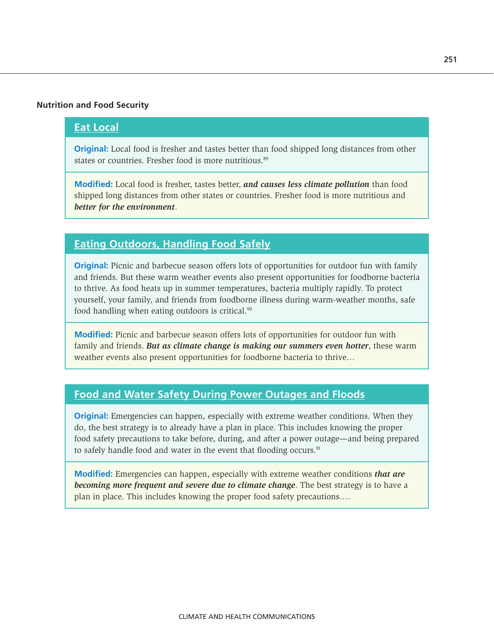#### **Nutrition and Food Security**

# **[Eat Local](https://www.foodsafety.gov/keep/events/summervacations/index.html)**

**Original:** Local food is fresher and tastes better than food shipped long distances from other states or countries. Fresher food is more nutritious.<sup>89</sup>

**Modified:** Local food is fresher, tastes better, *and causes less climate pollution* than food shipped long distances from other states or countries. Fresher food is more nutritious and *better for the environment*.

# **[Eating Outdoors, Handling Food Safely](https://www.fda.gov/food/resourcesforyou/Consumers/ucm109899.htm)**

**Original:** Picnic and barbecue season offers lots of opportunities for outdoor fun with family and friends. But these warm weather events also present opportunities for foodborne bacteria to thrive. As food heats up in summer temperatures, bacteria multiply rapidly. To protect yourself, your family, and friends from foodborne illness during warm-weather months, safe food handling when eating outdoors is critical.<sup>90</sup>

**Modified:** Picnic and barbecue season offers lots of opportunities for outdoor fun with family and friends. *But as climate change is making our summers even hotter*, these warm weather events also present opportunities for foodborne bacteria to thrive…

# **[Food and Water Safety During Power Outages and Floods](https://www.fda.gov/Food/ResourcesForYou/Consumers/ucm076881.htm)**

**Original:** Emergencies can happen, especially with extreme weather conditions. When they do, the best strategy is to already have a plan in place. This includes knowing the proper food safety precautions to take before, during, and after a power outage—and being prepared to safely handle food and water in the event that flooding occurs.<sup>91</sup>

**Modified:** Emergencies can happen, especially with extreme weather conditions *that are becoming more frequent and severe due to climate change*. The best strategy is to have a plan in place. This includes knowing the proper food safety precautions….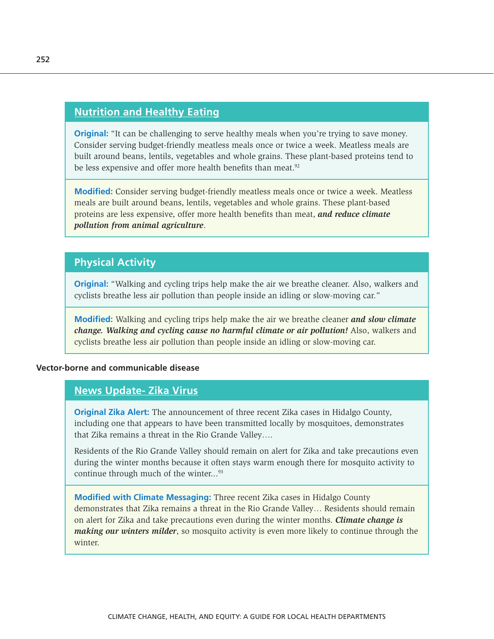# **[Nutrition and Healthy Eating](https://www.mayoclinic.org/healthy-lifestyle/nutrition-and-healthy-eating/in-depth/meatless-meals/art-20048193)**

**Original:** "It can be challenging to serve healthy meals when you're trying to save money. Consider serving budget-friendly meatless meals once or twice a week. Meatless meals are built around beans, lentils, vegetables and whole grains. These plant-based proteins tend to be less expensive and offer more health benefits than meat.<sup>92</sup>

**Modified:** Consider serving budget-friendly meatless meals once or twice a week. Meatless meals are built around beans, lentils, vegetables and whole grains. These plant-based proteins are less expensive, offer more health benefits than meat, *and reduce climate pollution from animal agriculture*.

# **Physical Activity**

**Original:** "Walking and cycling trips help make the air we breathe cleaner. Also, walkers and cyclists breathe less air pollution than people inside an idling or slow-moving car."

**Modified:** Walking and cycling trips help make the air we breathe cleaner *and slow climate change. Walking and cycling cause no harmful climate or air pollution!* Also, walkers and cyclists breathe less air pollution than people inside an idling or slow-moving car.

#### **Vector-borne and communicable disease**

# **[News Update- Zika Virus](http://www.dshs.texas.gov/news/updates/Zika-20171207.aspx)**

**Original Zika Alert:** The announcement of three recent Zika cases in Hidalgo County, including one that appears to have been transmitted locally by mosquitoes, demonstrates that Zika remains a threat in the Rio Grande Valley….

Residents of the Rio Grande Valley should remain on alert for Zika and take precautions even during the winter months because it often stays warm enough there for mosquito activity to continue through much of the winter...<sup>93</sup>

**Modified with Climate Messaging:** Three recent Zika cases in Hidalgo County demonstrates that Zika remains a threat in the Rio Grande Valley… Residents should remain on alert for Zika and take precautions even during the winter months. *Climate change is making our winters milder*, so mosquito activity is even more likely to continue through the winter.